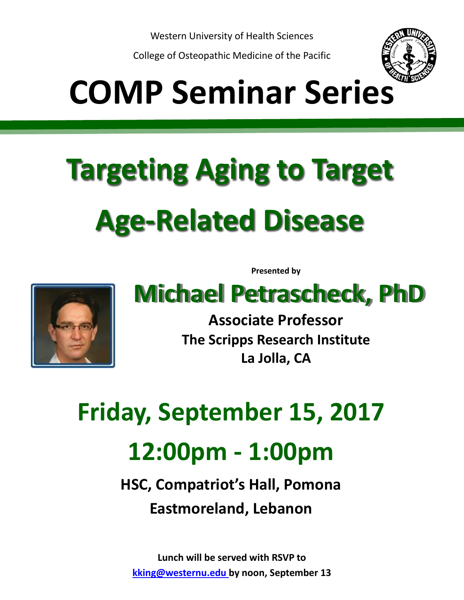Western University of Health Sciences

College of Osteopathic Medicine of the Pacific



## **COMP Seminar Series**

## **Targeting Aging to Target Age-Related Disease**

**Presented by**



## **Michael Petrascheck, PhD**

**Associate Professor The Scripps Research Institute La Jolla, CA**

**Friday, September 15, 2017 12:00pm - 1:00pm**

> **HSC, Compatriot's Hall, Pomona Eastmoreland, Lebanon**

**Lunch will be served with RSVP to kking@westernu.edu by noon, September 13**